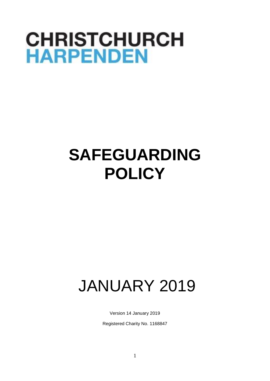# **CHRISTCHURCH HARPENDEN**

# **SAFEGUARDING POLICY**

# JANUARY 2019

Version 14 January 2019

Registered Charity No. 1168847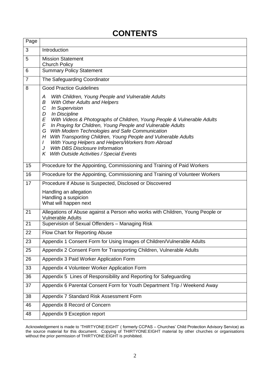## **CONTENTS**

| Page           |                                                                                                                                                                                                                                                                                                                                                                                                                                                                                                                                                                                      |
|----------------|--------------------------------------------------------------------------------------------------------------------------------------------------------------------------------------------------------------------------------------------------------------------------------------------------------------------------------------------------------------------------------------------------------------------------------------------------------------------------------------------------------------------------------------------------------------------------------------|
| 3              | Introduction                                                                                                                                                                                                                                                                                                                                                                                                                                                                                                                                                                         |
| 5              | <b>Mission Statement</b><br><b>Church Policy</b>                                                                                                                                                                                                                                                                                                                                                                                                                                                                                                                                     |
| 6              | <b>Summary Policy Statement</b>                                                                                                                                                                                                                                                                                                                                                                                                                                                                                                                                                      |
| $\overline{7}$ | The Safeguarding Coordinator                                                                                                                                                                                                                                                                                                                                                                                                                                                                                                                                                         |
| 8              | <b>Good Practice Guidelines</b>                                                                                                                                                                                                                                                                                                                                                                                                                                                                                                                                                      |
|                | With Children, Young People and Vulnerable Adults<br>A<br>With Other Adults and Helpers<br>В<br>C<br><b>In Supervision</b><br>D<br>In Discipline<br>E<br>With Videos & Photographs of Children, Young People & Vulnerable Adults<br>F<br>In Praying for Children, Young People and Vulnerable Adults<br>With Modern Technologies and Safe Communication<br>G<br>With Transporting Children, Young People and Vulnerable Adults<br>Η<br>With Young Helpers and Helpers/Workers from Abroad<br>I<br>With DBS Disclosure Information<br>J<br>K With Outside Activities / Special Events |
| 15             | Procedure for the Appointing, Commissioning and Training of Paid Workers                                                                                                                                                                                                                                                                                                                                                                                                                                                                                                             |
| 16             | Procedure for the Appointing, Commissioning and Training of Volunteer Workers                                                                                                                                                                                                                                                                                                                                                                                                                                                                                                        |
| 17             | Procedure if Abuse is Suspected, Disclosed or Discovered                                                                                                                                                                                                                                                                                                                                                                                                                                                                                                                             |
|                | Handling an allegation<br>Handling a suspicion<br>What will happen next                                                                                                                                                                                                                                                                                                                                                                                                                                                                                                              |
| 21             | Allegations of Abuse against a Person who works with Children, Young People or<br><b>Vulnerable Adults</b>                                                                                                                                                                                                                                                                                                                                                                                                                                                                           |
| 21             | Supervision of Sexual Offenders - Managing Risk                                                                                                                                                                                                                                                                                                                                                                                                                                                                                                                                      |
| 22             | Flow Chart for Reporting Abuse                                                                                                                                                                                                                                                                                                                                                                                                                                                                                                                                                       |
| 23             | Appendix 1 Consent Form for Using Images of Children/Vulnerable Adults                                                                                                                                                                                                                                                                                                                                                                                                                                                                                                               |
| 25             | Appendix 2 Consent Form for Transporting Children, Vulnerable Adults                                                                                                                                                                                                                                                                                                                                                                                                                                                                                                                 |
| 26             | Appendix 3 Paid Worker Application Form                                                                                                                                                                                                                                                                                                                                                                                                                                                                                                                                              |
| 33             | Appendix 4 Volunteer Worker Application Form                                                                                                                                                                                                                                                                                                                                                                                                                                                                                                                                         |
| 36             | Appendix 5 Lines of Responsibility and Reporting for Safeguarding                                                                                                                                                                                                                                                                                                                                                                                                                                                                                                                    |
| 37             | Appendix 6 Parental Consent Form for Youth Department Trip / Weekend Away                                                                                                                                                                                                                                                                                                                                                                                                                                                                                                            |
| 38             | Appendix 7 Standard Risk Assessment Form                                                                                                                                                                                                                                                                                                                                                                                                                                                                                                                                             |
| 46             | Appendix 8 Record of Concern                                                                                                                                                                                                                                                                                                                                                                                                                                                                                                                                                         |
| 48             | Appendix 9 Exception report                                                                                                                                                                                                                                                                                                                                                                                                                                                                                                                                                          |

Acknowledgement is made to 'THIRTYONE:EIGHT' ( formerly CCPAS – Churches' Child Protection Advisory Service) as the source material for this document. Copying of THIRTYONE:EIGHT material by other churches or organisations without the prior permission of THIRTYONE:EIGHT is prohibited.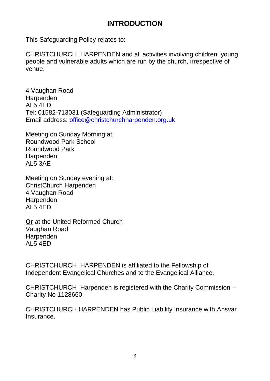## **INTRODUCTION**

This Safeguarding Policy relates to:

CHRISTCHURCH HARPENDEN and all activities involving children, young people and vulnerable adults which are run by the church, irrespective of venue.

4 Vaughan Road Harpenden AL5 4ED Tel: 01582-713031 (Safeguarding Administrator) Email address: [office@christchurchharpenden.org.uk](mailto:office@christchurchharpenden.org.uk)

Meeting on Sunday Morning at: Roundwood Park School Roundwood Park **Harpenden** AL5 3AE

Meeting on Sunday evening at: ChristChurch Harpenden 4 Vaughan Road Harpenden AL5 4ED

**Or** at the United Reformed Church Vaughan Road Harpenden AL5 4ED

CHRISTCHURCH HARPENDEN is affiliated to the Fellowship of Independent Evangelical Churches and to the Evangelical Alliance.

CHRISTCHURCH Harpenden is registered with the Charity Commission – Charity No 1128660.

CHRISTCHURCH HARPENDEN has Public Liability Insurance with Ansvar **Insurance**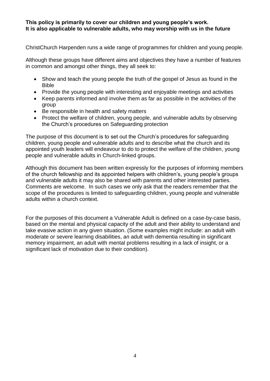#### **This policy is primarily to cover our children and young people's work. It is also applicable to vulnerable adults, who may worship with us in the future**

ChristChurch Harpenden runs a wide range of programmes for children and young people.

Although these groups have different aims and objectives they have a number of features in common and amongst other things, they all seek to:

- Show and teach the young people the truth of the gospel of Jesus as found in the Bible
- Provide the young people with interesting and enjoyable meetings and activities
- Keep parents informed and involve them as far as possible in the activities of the group
- Be responsible in health and safety matters
- Protect the welfare of children, young people, and vulnerable adults by observing the Church's procedures on Safeguarding protection

The purpose of this document is to set out the Church's procedures for safeguarding children, young people and vulnerable adults and to describe what the church and its appointed youth leaders will endeavour to do to protect the welfare of the children, young people and vulnerable adults in Church-linked groups.

Although this document has been written expressly for the purposes of informing members of the church fellowship and its appointed helpers with children's, young people's groups and vulnerable adults it may also be shared with parents and other interested parties. Comments are welcome. In such cases we only ask that the readers remember that the scope of the procedures is limited to safeguarding children, young people and vulnerable adults within a church context.

For the purposes of this document a Vulnerable Adult is defined on a case-by-case basis, based on the mental and physical capacity of the adult and their ability to understand and take evasive action in any given situation. (Some examples might include: an adult with moderate or severe learning disabilities, an adult with dementia resulting in significant memory impairment, an adult with mental problems resulting in a lack of insight, or a significant lack of motivation due to their condition).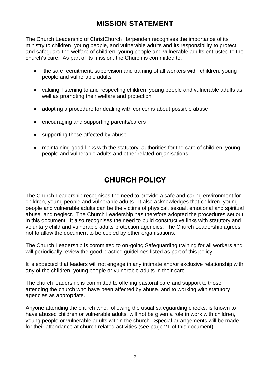## **MISSION STATEMENT**

The Church Leadership of ChristChurch Harpenden recognises the importance of its ministry to children, young people, and vulnerable adults and its responsibility to protect and safeguard the welfare of children, young people and vulnerable adults entrusted to the church's care. As part of its mission, the Church is committed to:

- the safe recruitment, supervision and training of all workers with children, young people and vulnerable adults
- valuing, listening to and respecting children, young people and vulnerable adults as well as promoting their welfare and protection
- adopting a procedure for dealing with concerns about possible abuse
- encouraging and supporting parents/carers
- supporting those affected by abuse
- maintaining good links with the statutory authorities for the care of children, young people and vulnerable adults and other related organisations

## **CHURCH POLICY**

The Church Leadership recognises the need to provide a safe and caring environment for children, young people and vulnerable adults. It also acknowledges that children, young people and vulnerable adults can be the victims of physical, sexual, emotional and spiritual abuse, and neglect. The Church Leadership has therefore adopted the procedures set out in this document. It also recognises the need to build constructive links with statutory and voluntary child and vulnerable adults protection agencies. The Church Leadership agrees not to allow the document to be copied by other organisations.

The Church Leadership is committed to on-going Safeguarding training for all workers and will periodically review the good practice guidelines listed as part of this policy.

It is expected that leaders will not engage in any intimate and/or exclusive relationship with any of the children, young people or vulnerable adults in their care.

The church leadership is committed to offering pastoral care and support to those attending the church who have been affected by abuse, and to working with statutory agencies as appropriate.

Anyone attending the church who, following the usual safeguarding checks, is known to have abused children or vulnerable adults, will not be given a role in work with children, young people or vulnerable adults within the church. Special arrangements will be made for their attendance at church related activities (see page 21 of this document)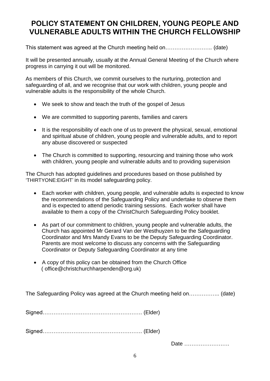## **POLICY STATEMENT ON CHILDREN, YOUNG PEOPLE AND VULNERABLE ADULTS WITHIN THE CHURCH FELLOWSHIP**

This statement was agreed at the Church meeting held on…………………….. (date)

It will be presented annually, usually at the Annual General Meeting of the Church where progress in carrying it out will be monitored.

As members of this Church, we commit ourselves to the nurturing, protection and safeguarding of all, and we recognise that our work with children, young people and vulnerable adults is the responsibility of the whole Church.

- We seek to show and teach the truth of the gospel of Jesus
- We are committed to supporting parents, families and carers
- It is the responsibility of each one of us to prevent the physical, sexual, emotional and spiritual abuse of children, young people and vulnerable adults, and to report any abuse discovered or suspected
- The Church is committed to supporting, resourcing and training those who work with children, young people and vulnerable adults and to providing supervision

The Church has adopted guidelines and procedures based on those published by 'THIRTYONE:EIGHT' in its model safeguarding policy.

- Each worker with children, young people, and vulnerable adults is expected to know the recommendations of the Safeguarding Policy and undertake to observe them and is expected to attend periodic training sessions. Each worker shall have available to them a copy of the ChristChurch Safeguarding Policy booklet.
- As part of our commitment to children, young people and vulnerable adults, the Church has appointed Mr Gerard Van der Westhuyzen to be the Safeguarding Coordinator and Mrs Mandy Evans to be the Deputy Safeguarding Coordinator. Parents are most welcome to discuss any concerns with the Safeguarding Coordinator or Deputy Safeguarding Coordinator at any time
- A copy of this policy can be obtained from the Church Office ( office@christchurchharpenden@org.uk)

The Safeguarding Policy was agreed at the Church meeting held on…………….. (date)

Signed………………………………………………. (Elder)

Signed………………………………………………. (Elder)

Date …………………….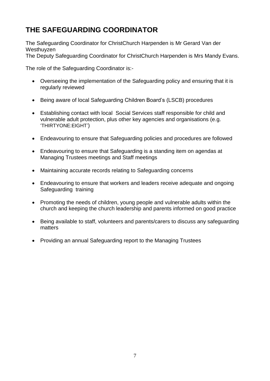## **THE SAFEGUARDING COORDINATOR**

The Safeguarding Coordinator for ChristChurch Harpenden is Mr Gerard Van der Westhuyzen

The Deputy Safeguarding Coordinator for ChristChurch Harpenden is Mrs Mandy Evans.

The role of the Safeguarding Coordinator is:-

- Overseeing the implementation of the Safeguarding policy and ensuring that it is regularly reviewed
- Being aware of local Safeguarding Children Board's (LSCB) procedures
- Establishing contact with local Social Services staff responsible for child and vulnerable adult protection, plus other key agencies and organisations (e.g. 'THIRTYONE:EIGHT')
- Endeavouring to ensure that Safeguarding policies and procedures are followed
- Endeavouring to ensure that Safeguarding is a standing item on agendas at Managing Trustees meetings and Staff meetings
- Maintaining accurate records relating to Safeguarding concerns
- Endeavouring to ensure that workers and leaders receive adequate and ongoing Safeguarding training
- Promoting the needs of children, young people and vulnerable adults within the church and keeping the church leadership and parents informed on good practice
- Being available to staff, volunteers and parents/carers to discuss any safeguarding matters
- Providing an annual Safeguarding report to the Managing Trustees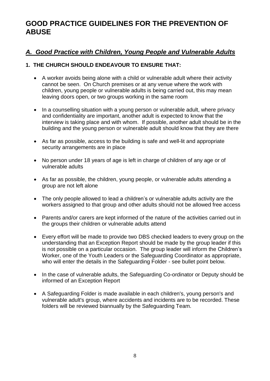## **GOOD PRACTICE GUIDELINES FOR THE PREVENTION OF ABUSE**

## *A. Good Practice with Children, Young People and Vulnerable Adults*

## **1. THE CHURCH SHOULD ENDEAVOUR TO ENSURE THAT:**

- A worker avoids being alone with a child or vulnerable adult where their activity cannot be seen. On Church premises or at any venue where the work with children, young people or vulnerable adults is being carried out, this may mean leaving doors open, or two groups working in the same room
- In a counselling situation with a young person or vulnerable adult, where privacy and confidentiality are important, another adult is expected to know that the interview is taking place and with whom. If possible, another adult should be in the building and the young person or vulnerable adult should know that they are there
- As far as possible, access to the building is safe and well-lit and appropriate security arrangements are in place
- No person under 18 years of age is left in charge of children of any age or of vulnerable adults
- As far as possible, the children, young people, or vulnerable adults attending a group are not left alone
- The only people allowed to lead a children's or vulnerable adults activity are the workers assigned to that group and other adults should not be allowed free access
- Parents and/or carers are kept informed of the nature of the activities carried out in the groups their children or vulnerable adults attend
- Every effort will be made to provide two DBS checked leaders to every group on the understanding that an Exception Report should be made by the group leader if this is not possible on a particular occasion. The group leader will inform the Children's Worker, one of the Youth Leaders or the Safeguarding Coordinator as appropriate, who will enter the details in the Safeguarding Folder - see bullet point below.
- In the case of vulnerable adults, the Safeguarding Co-ordinator or Deputy should be informed of an Exception Report
- A Safeguarding Folder is made available in each children's, young person's and vulnerable adult's group, where accidents and incidents are to be recorded. These folders will be reviewed biannually by the Safeguarding Team.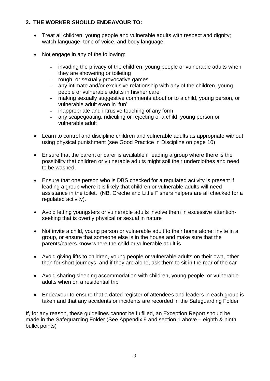## **2. THE WORKER SHOULD ENDEAVOUR TO:**

- Treat all children, young people and vulnerable adults with respect and dignity; watch language, tone of voice, and body language.
- Not engage in any of the following:
	- invading the privacy of the children, young people or vulnerable adults when they are showering or toileting
	- rough, or sexually provocative games
	- any intimate and/or exclusive relationship with any of the children, young people or vulnerable adults in his/her care
	- making sexually suggestive comments about or to a child, young person, or vulnerable adult even in 'fun'
	- inappropriate and intrusive touching of any form
	- any scapegoating, ridiculing or rejecting of a child, young person or vulnerable adult
- Learn to control and discipline children and vulnerable adults as appropriate without using physical punishment (see Good Practice in Discipline on page 10)
- Ensure that the parent or carer is available if leading a group where there is the possibility that children or vulnerable adults might soil their underclothes and need to be washed.
- Ensure that one person who is DBS checked for a regulated activity is present if leading a group where it is likely that children or vulnerable adults will need assistance in the toilet. (NB. Crèche and Little Fishers helpers are all checked for a regulated activity).
- Avoid letting youngsters or vulnerable adults involve them in excessive attentionseeking that is overtly physical or sexual in nature
- Not invite a child, young person or vulnerable adult to their home alone; invite in a group, or ensure that someone else is in the house and make sure that the parents/carers know where the child or vulnerable adult is
- Avoid giving lifts to children, young people or vulnerable adults on their own, other than for short journeys, and if they are alone, ask them to sit in the rear of the car
- Avoid sharing sleeping accommodation with children, young people, or vulnerable adults when on a residential trip
- Endeavour to ensure that a dated register of attendees and leaders in each group is taken and that any accidents or incidents are recorded in the Safeguarding Folder

If, for any reason, these guidelines cannot be fulfilled, an Exception Report should be made in the Safeguarding Folder (See Appendix 9 and section 1 above – eighth & ninth bullet points)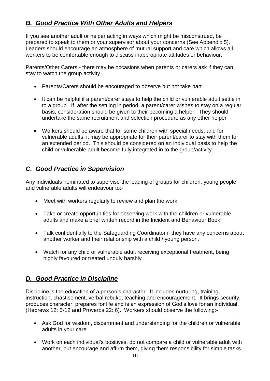## *B. Good Practice With Other Adults and Helpers*

If you see another adult or helper acting in ways which might be misconstrued, be prepared to speak to them or your supervisor about your concerns (See Appendix 5). Leaders should encourage an atmosphere of mutual support and care which allows all workers to be comfortable enough to discuss inappropriate attitudes or behaviour.

Parents/Other Carers - there may be occasions when parents or carers ask if they can stay to watch the group activity.

- Parents/Carers should be encouraged to observe but not take part
- It can be helpful if a parent/carer stays to help the child or vulnerable adult settle in to a group. If, after the settling in period, a parent/carer wishes to stay on a regular basis, consideration should be given to their becoming a helper. They should undertake the same recruitment and selection procedure as any other helper
- Workers should be aware that for some children with special needs, and for vulnerable adults, it may be appropriate for their parent/carer to stay with them for an extended period. This should be considered on an individual basis to help the child or vulnerable adult become fully integrated in to the group/activity

## *C. Good Practice in Supervision*

Any individuals nominated to supervise the leading of groups for children, young people and vulnerable adults will endeavour to:-

- Meet with workers regularly to review and plan the work
- Take or create opportunities for observing work with the children or vulnerable adults and make a brief written record in the Incident and Behaviour Book
- Talk confidentially to the Safeguarding Coordinator if they have any concerns about another worker and their relationship with a child / young person.
- Watch for any child or vulnerable adult receiving exceptional treatment, being highly favoured or treated unduly harshly

## *D. Good Practice in Discipline*

Discipline is the education of a person's character. It includes nurturing, training, instruction, chastisement, verbal rebuke, teaching and encouragement. It brings security, produces character, prepares for life and is an expression of God's love for an individual. (Hebrews 12: 5-12 and Proverbs 22: 6). Workers should observe the following:-

- Ask God for wisdom, discernment and understanding for the children or vulnerable adults in your care
- Work on each individual's positives, do not compare a child or vulnerable adult with another, but encourage and affirm them, giving them responsibility for simple tasks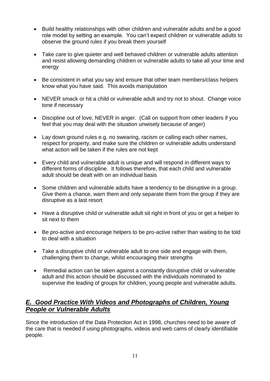- Build healthy relationships with other children and vulnerable adults and be a good role model by setting an example. You can't expect children or vulnerable adults to observe the ground rules if you break them yourself
- Take care to give quieter and well behaved children or vulnerable adults attention and resist allowing demanding children or vulnerable adults to take all your time and energy
- Be consistent in what you say and ensure that other team members/class helpers know what you have said. This avoids manipulation
- NEVER smack or hit a child or vulnerable adult and try not to shout. Change voice tone if necessary
- Discipline out of love, NEVER in anger. (Call on support from other leaders if you feel that you may deal with the situation unwisely because of anger)
- Lay down ground rules e.g. no swearing, racism or calling each other names, respect for property, and make sure the children or vulnerable adults understand what action will be taken if the rules are not kept
- Every child and vulnerable adult is unique and will respond in different ways to different forms of discipline. It follows therefore, that each child and vulnerable adult should be dealt with on an individual basis
- Some children and vulnerable adults have a tendency to be disruptive in a group. Give them a chance, warn them and only separate them from the group if they are disruptive as a last resort
- Have a disruptive child or vulnerable adult sit right in front of you or get a helper to sit next to them
- Be pro-active and encourage helpers to be pro-active rather than waiting to be told to deal with a situation
- Take a disruptive child or vulnerable adult to one side and engage with them, challenging them to change, whilst encouraging their strengths
- Remedial action can be taken against a constantly disruptive child or vulnerable adult and this action should be discussed with the individuals nominated to supervise the leading of groups for children, young people and vulnerable adults.

## *E. Good Practice With Videos and Photographs of Children, Young People or Vulnerable Adults*

Since the introduction of the Data Protection Act in 1998, churches need to be aware of the care that is needed if using photographs, videos and web cams of clearly identifiable people.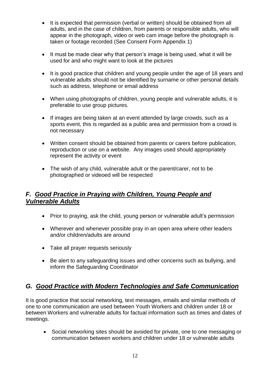- It is expected that permission (verbal or written) should be obtained from all adults, and in the case of children, from parents or responsible adults, who will appear in the photograph, video or web cam image before the photograph is taken or footage recorded (See Consent Form Appendix 1)
- It must be made clear why that person's image is being used, what it will be used for and who might want to look at the pictures
- It is good practice that children and young people under the age of 18 years and vulnerable adults should not be identified by surname or other personal details such as address, telephone or email address
- When using photographs of children, young people and vulnerable adults, it is preferable to use group pictures.
- If images are being taken at an event attended by large crowds, such as a sports event, this is regarded as a public area and permission from a crowd is not necessary
- Written consent should be obtained from parents or carers before publication, reproduction or use on a website. Any images used should appropriately represent the activity or event
- The wish of any child, vulnerable adult or the parent/carer, not to be photographed or videoed will be respected

## *F. Good Practice in Praying with Children, Young People and Vulnerable Adults*

- Prior to praying, ask the child, young person or vulnerable adult's permission
- Wherever and whenever possible pray in an open area where other leaders and/or children/adults are around
- Take all prayer requests seriously
- Be alert to any safeguarding issues and other concerns such as bullying, and inform the Safeguarding Coordinator

## *G. Good Practice with Modern Technologies and Safe Communication*

It is good practice that social networking, text messages, emails and similar methods of one to one communication are used between Youth Workers and children under 18 or between Workers and vulnerable adults for factual information such as times and dates of meetings.

• Social networking sites should be avoided for private, one to one messaging or communication between workers and children under 18 or vulnerable adults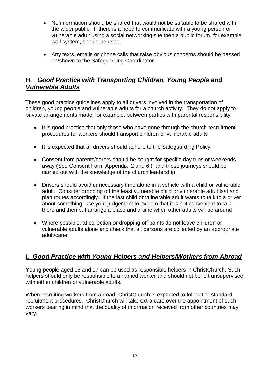- No information should be shared that would not be suitable to be shared with the wider public. If there is a need to communicate with a young person or vulnerable adult using a social networking site then a public forum, for example wall system, should be used.
- Any texts, emails or phone calls that raise obvious concerns should be passed on/shown to the Safeguarding Coordinator.

## *H. Good Practice with Transporting Children, Young People and Vulnerable Adults*

 These good practice guidelines apply to all drivers involved in the transportation of children, young people and vulnerable adults for a church activity. They do not apply to private arrangements made, for example, between parties with parental responsibility.

- It is good practice that only those who have gone through the church recruitment procedures for workers should transport children or vulnerable adults
- It is expected that all drivers should adhere to the Safeguarding Policy
- Consent from parents/carers should be sought for specific day trips or weekends away (See Consent Form Appendix 2 and 6 ) and these journeys should be carried out with the knowledge of the church leadership
- Drivers should avoid unnecessary time alone in a vehicle with a child or vulnerable adult. Consider dropping off the least vulnerable child or vulnerable adult last and plan routes accordingly. If the last child or vulnerable adult wants to talk to a driver about something, use your judgement to explain that it is not convenient to talk there and then but arrange a place and a time when other adults will be around
- Where possible, at collection or dropping off points do not leave children or vulnerable adults alone and check that all persons are collected by an appropriate adult/carer

## *I. Good Practice with Young Helpers and Helpers/Workers from Abroad*

Young people aged 16 and 17 can be used as responsible helpers in ChristChurch. Such helpers should only be responsible to a named worker and should not be left unsupervised with either children or vulnerable adults.

When recruiting workers from abroad, ChristChurch is expected to follow the standard recruitment procedures. ChristChurch will take extra care over the appointment of such workers bearing in mind that the quality of information received from other countries may vary.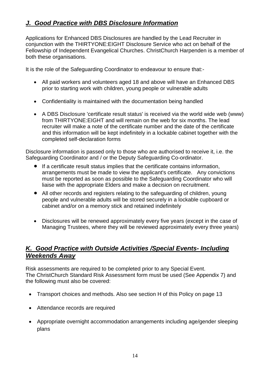## *J. Good Practice with DBS Disclosure Information*

Applications for Enhanced DBS Disclosures are handled by the Lead Recruiter in conjunction with the THIRTYONE:EIGHT Disclosure Service who act on behalf of the Fellowship of Independent Evangelical Churches. ChristChurch Harpenden is a member of both these organisations.

It is the role of the Safeguarding Coordinator to endeavour to ensure that:-

- All paid workers and volunteers aged 18 and above will have an Enhanced DBS prior to starting work with children, young people or vulnerable adults
- Confidentiality is maintained with the documentation being handled
- A DBS Disclosure 'certificate result status' is received via the world wide web (www) from THIRTYONE:EIGHT and will remain on the web for six months. The lead recruiter will make a note of the certificate number and the date of the certificate and this information will be kept indefinitely in a lockable cabinet together with the completed self-declaration forms

Disclosure information is passed only to those who are authorised to receive it, i.e. the Safeguarding Coordinator and / or the Deputy Safeguarding Co-ordinator.

- If a certificate result status implies that the certificate contains information, arrangements must be made to view the applicant's certificate. Any convictions must be reported as soon as possible to the Safeguarding Coordinator who will liaise with the appropriate Elders and make a decision on recruitment.
- All other records and registers relating to the safeguarding of children, young people and vulnerable adults will be stored securely in a lockable cupboard or cabinet and/or on a memory stick and retained indefinitely
- Disclosures will be renewed approximately every five years (except in the case of Managing Trustees, where they will be reviewed approximately every three years)

## *K. Good Practice with Outside Activities /Special Events- Including Weekends Away*

Risk assessments are required to be completed prior to any Special Event. The ChristChurch Standard Risk Assessment form must be used (See Appendix 7) and the following must also be covered:

- Transport choices and methods. Also see section H of this Policy on page 13
- Attendance records are required
- Appropriate overnight accommodation arrangements including age/gender sleeping plans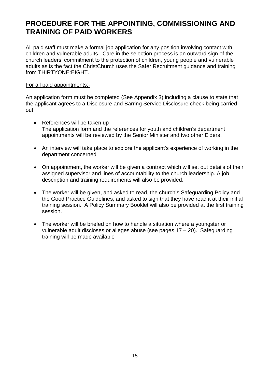## **PROCEDURE FOR THE APPOINTING, COMMISSIONING AND TRAINING OF PAID WORKERS**

All paid staff must make a formal job application for any position involving contact with children and vulnerable adults. Care in the selection process is an outward sign of the church leaders' commitment to the protection of children, young people and vulnerable adults as is the fact the ChristChurch uses the Safer Recruitment guidance and training from THIRTYONE:EIGHT.

#### For all paid appointments:-

An application form must be completed (See Appendix 3) including a clause to state that the applicant agrees to a Disclosure and Barring Service Disclosure check being carried out.

- References will be taken up The application form and the references for youth and children's department appointments will be reviewed by the Senior Minister and two other Elders.
- An interview will take place to explore the applicant's experience of working in the department concerned
- On appointment, the worker will be given a contract which will set out details of their assigned supervisor and lines of accountability to the church leadership. A job description and training requirements will also be provided.
- The worker will be given, and asked to read, the church's Safeguarding Policy and the Good Practice Guidelines, and asked to sign that they have read it at their initial training session. A Policy Summary Booklet will also be provided at the first training session.
- The worker will be briefed on how to handle a situation where a youngster or vulnerable adult discloses or alleges abuse (see pages 17 – 20). Safeguarding training will be made available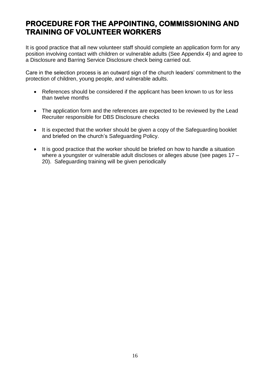## **PROCEDURE FOR THE APPOINTING, COMMISSIONING AND TRAINING OF VOLUNTEER WORKERS**

It is good practice that all new volunteer staff should complete an application form for any position involving contact with children or vulnerable adults (See Appendix 4) and agree to a Disclosure and Barring Service Disclosure check being carried out.

Care in the selection process is an outward sign of the church leaders' commitment to the protection of children, young people, and vulnerable adults.

- References should be considered if the applicant has been known to us for less than twelve months
- The application form and the references are expected to be reviewed by the Lead Recruiter responsible for DBS Disclosure checks
- It is expected that the worker should be given a copy of the Safeguarding booklet and briefed on the church's Safeguarding Policy.
- It is good practice that the worker should be briefed on how to handle a situation where a youngster or vulnerable adult discloses or alleges abuse (see pages 17 – 20). Safeguarding training will be given periodically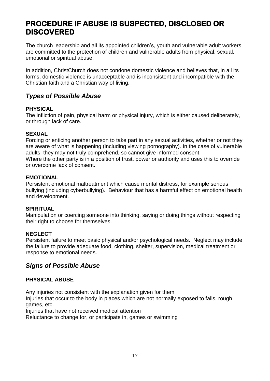## **PROCEDURE IF ABUSE IS SUSPECTED, DISCLOSED OR DISCOVERED**

The church leadership and all its appointed children's, youth and vulnerable adult workers are committed to the protection of children and vulnerable adults from physical, sexual, emotional or spiritual abuse.

In addition, ChristChurch does not condone domestic violence and believes that, in all its forms, domestic violence is unacceptable and is inconsistent and incompatible with the Christian faith and a Christian way of living.

## *Types of Possible Abuse*

#### **PHYSICAL**

The infliction of pain, physical harm or physical injury, which is either caused deliberately, or through lack of care.

#### **SEXUAL**

Forcing or enticing another person to take part in any sexual activities, whether or not they are aware of what is happening (including viewing pornography). In the case of vulnerable adults, they may not truly comprehend, so cannot give informed consent. Where the other party is in a position of trust, power or authority and uses this to override or overcome lack of consent.

#### **EMOTIONAL**

Persistent emotional maltreatment which cause mental distress, for example serious bullying (including cyberbullying). Behaviour that has a harmful effect on emotional health and development.

#### **SPIRITUAL**

Manipulation or coercing someone into thinking, saying or doing things without respecting their right to choose for themselves.

#### **NEGLECT**

Persistent failure to meet basic physical and/or psychological needs. Neglect may include the failure to provide adequate food, clothing, shelter, supervision, medical treatment or response to emotional needs.

## *Signs of Possible Abuse*

### **PHYSICAL ABUSE**

Any injuries not consistent with the explanation given for them

Injuries that occur to the body in places which are not normally exposed to falls, rough games, etc.

Injuries that have not received medical attention

Reluctance to change for, or participate in, games or swimming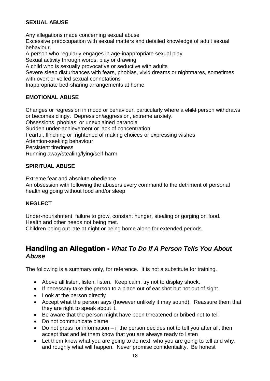## **SEXUAL ABUSE**

Any allegations made concerning sexual abuse Excessive preoccupation with sexual matters and detailed knowledge of adult sexual behaviour.

A person who regularly engages in age-inappropriate sexual play Sexual activity through words, play or drawing

A child who is sexually provocative or seductive with adults

Severe sleep disturbances with fears, phobias, vivid dreams or nightmares, sometimes with overt or veiled sexual connotations

Inappropriate bed-sharing arrangements at home

### **EMOTIONAL ABUSE**

Changes or regression in mood or behaviour, particularly where a child person withdraws or becomes clingy. Depression/aggression, extreme anxiety. Obsessions, phobias, or unexplained paranoia Sudden under-achievement or lack of concentration Fearful, flinching or frightened of making choices or expressing wishes Attention-seeking behaviour Persistent tiredness Running away/stealing/lying/self-harm

### **SPIRITUAL ABUSE**

Extreme fear and absolute obedience An obsession with following the abusers every command to the detriment of personal health eg going without food and/or sleep

### **NEGLECT**

Under-nourishment, failure to grow, constant hunger, stealing or gorging on food. Health and other needs not being met.

Children being out late at night or being home alone for extended periods.

## **Handling an Allegation -** *What To Do If A Person Tells You About Abuse*

The following is a summary only, for reference. It is not a substitute for training.

- Above all listen, listen, listen. Keep calm, try not to display shock.
- If necessary take the person to a place out of ear shot but not out of sight.
- Look at the person directly
- Accept what the person says (however unlikely it may sound). Reassure them that they are right to speak about it.
- Be aware that the person might have been threatened or bribed not to tell
- Do not communicate blame
- Do not press for information if the person decides not to tell you after all, then accept that and let them know that you are always ready to listen
- Let them know what you are going to do next, who you are going to tell and why, and roughly what will happen. Never promise confidentiality. Be honest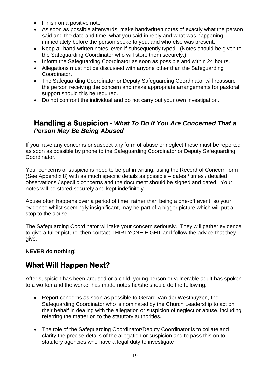- Finish on a positive note
- As soon as possible afterwards, make handwritten notes of exactly what the person said and the date and time, what you said in reply and what was happening immediately before the person spoke to you, and who else was present.
- Keep all hand-written notes, even if subsequently typed. (Notes should be given to the Safeguarding Coordinator who will store them securely.)
- Inform the Safeguarding Coordinator as soon as possible and within 24 hours.
- Allegations must not be discussed with anyone other than the Safeguarding Coordinator.
- The Safeguarding Coordinator or Deputy Safeguarding Coordinator will reassure the person receiving the concern and make appropriate arrangements for pastoral support should this be required.
- Do not confront the individual and do not carry out your own investigation.

## **Handling a Suspicion** *- What To Do If You Are Concerned That a Person May Be Being Abused*

If you have any concerns or suspect any form of abuse or neglect these must be reported as soon as possible by phone to the Safeguarding Coordinator or Deputy Safeguarding Coordinator.

Your concerns or suspicions need to be put in writing, using the Record of Concern form (See Appendix 8) with as much specific details as possible – dates / times / detailed observations / specific concerns and the document should be signed and dated. Your notes will be stored securely and kept indefinitely.

Abuse often happens over a period of time, rather than being a one-off event, so your evidence whilst seemingly insignificant, may be part of a bigger picture which will put a stop to the abuse.

The Safeguarding Coordinator will take your concern seriously. They will gather evidence to give a fuller picture, then contact THIRTYONE:EIGHT and follow the advice that they give.

### **NEVER do nothing!**

## **What Will Happen Next?**

After suspicion has been aroused or a child, young person or vulnerable adult has spoken to a worker and the worker has made notes he/she should do the following:

- Report concerns as soon as possible to Gerard Van der Westhuyzen, the Safeguarding Coordinator who is nominated by the Church Leadership to act on their behalf in dealing with the allegation or suspicion of neglect or abuse, including referring the matter on to the statutory authorities.
- The role of the Safeguarding Coordinator/Deputy Coordinator is to collate and clarify the precise details of the allegation or suspicion and to pass this on to statutory agencies who have a legal duty to investigate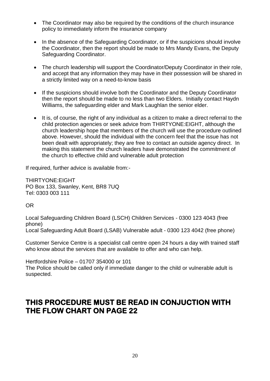- The Coordinator may also be required by the conditions of the church insurance policy to immediately inform the insurance company
- In the absence of the Safeguarding Coordinator, or if the suspicions should involve the Coordinator, then the report should be made to Mrs Mandy Evans, the Deputy Safeguarding Coordinator.
- The church leadership will support the Coordinator/Deputy Coordinator in their role, and accept that any information they may have in their possession will be shared in a strictly limited way on a need-to-know basis
- If the suspicions should involve both the Coordinator and the Deputy Coordinator then the report should be made to no less than two Elders. Initially contact Haydn Williams, the safeguarding elder and Mark Laughlan the senior elder.
- It is, of course, the right of any individual as a citizen to make a direct referral to the child protection agencies or seek advice from THIRTYONE:EIGHT, although the church leadership hope that members of the church will use the procedure outlined above. However, should the individual with the concern feel that the issue has not been dealt with appropriately; they are free to contact an outside agency direct. In making this statement the church leaders have demonstrated the commitment of the church to effective child and vulnerable adult protection

If required, further advice is available from:-

THIRTYONE:EIGHT PO Box 133, Swanley, Kent, BR8 7UQ Tel: 0303 003 111

OR

Local Safeguarding Children Board (LSCH) Children Services - 0300 123 4043 (free phone) Local Safeguarding Adult Board (LSAB) Vulnerable adult - 0300 123 4042 (free phone)

Customer Service Centre is a specialist call centre open 24 hours a day with trained staff who know about the services that are available to offer and who can help.

Hertfordshire Police – 01707 354000 or 101

The Police should be called only if immediate danger to the child or vulnerable adult is suspected.

## **THIS PROCEDURE MUST BE READ IN CONJUCTION WITH THE FLOW CHART ON PAGE 22**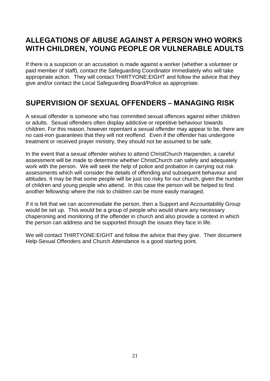## **ALLEGATIONS OF ABUSE AGAINST A PERSON WHO WORKS WITH CHILDREN, YOUNG PEOPLE OR VULNERABLE ADULTS**

If there is a suspicion or an accusation is made against a worker (whether a volunteer or paid member of staff), contact the Safeguarding Coordinator immediately who will take appropriate action. They will contact THIRTYONE:EIGHT and follow the advice that they give and/or contact the Local Safeguarding Board/Police as appropriate.

## **SUPERVISION OF SEXUAL OFFENDERS – MANAGING RISK**

A sexual offender is someone who has committed sexual offences against either children or adults. Sexual offenders often display addictive or repetitive behaviour towards children. For this reason, however repentant a sexual offender may appear to be, there are no cast-iron guarantees that they will not reoffend. Even if the offender has undergone treatment or received prayer ministry, they should not be assumed to be safe.

In the event that a sexual offender wishes to attend ChristChurch Harpenden, a careful assessment will be made to determine whether ChristChurch can safely and adequately work with the person. We will seek the help of police and probation in carrying out risk assessments which will consider the details of offending and subsequent behaviour and attitudes. It may be that some people will be just too risky for our church, given the number of children and young people who attend. In this case the person will be helped to find another fellowship where the risk to children can be more easily managed.

If it is felt that we can accommodate the person, then a Support and Accountability Group would be set up. This would be a group of people who would share any necessary chaperoning and monitoring of the offender in church and also provide a context in which the person can address and be supported through the issues they face in life.

We will contact THIRTYONE:EIGHT and follow the advice that they give. Their document Help-Sexual Offenders and Church Attendance is a good starting point.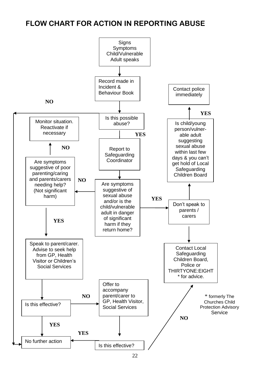## **FLOW CHART FOR ACTION IN REPORTING ABUSE**

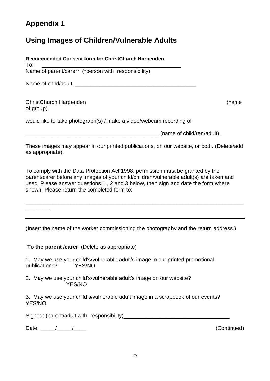## **Appendix 1**

## **Using Images of Children/Vulnerable Adults**

| Recommended Consent form for ChristChurch Harpenden<br>To:                                                                                                                                                                                                                                                    |
|---------------------------------------------------------------------------------------------------------------------------------------------------------------------------------------------------------------------------------------------------------------------------------------------------------------|
|                                                                                                                                                                                                                                                                                                               |
|                                                                                                                                                                                                                                                                                                               |
| ChristChurch Harpenden Management ChristChurch Harpenden<br>(name<br>of group)                                                                                                                                                                                                                                |
| would like to take photograph(s) / make a video/webcam recording of                                                                                                                                                                                                                                           |
| (name of child/ren/adult).                                                                                                                                                                                                                                                                                    |
| These images may appear in our printed publications, on our website, or both. (Delete/add<br>as appropriate).                                                                                                                                                                                                 |
| To comply with the Data Protection Act 1998, permission must be granted by the<br>parent/carer before any images of your child/children/vulnerable adult(s) are taken and<br>used. Please answer questions 1, 2 and 3 below, then sign and date the form where<br>shown. Please return the completed form to: |
|                                                                                                                                                                                                                                                                                                               |

(Insert the name of the worker commissioning the photography and the return address.)

**To the parent /carer** (Delete as appropriate)

1. May we use your child's/vulnerable adult's image in our printed promotional publications? YES/NO

2. May we use your child's/vulnerable adult's image on our website? YES/NO

3. May we use your child's/vulnerable adult image in a scrapbook of our events? YES/NO

Signed: (parent/adult with responsibility)\_\_\_\_\_\_\_\_\_\_\_\_\_\_\_\_\_\_\_\_\_\_\_\_\_\_\_\_\_\_\_\_\_\_\_

Date: \_\_\_\_\_/\_\_\_\_\_/\_\_\_\_ (Continued)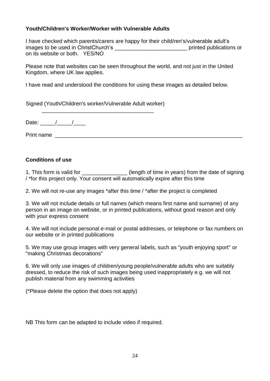### **Youth/Children's Worker/Worker with Vulnerable Adults**

I have checked which parents/carers are happy for their child/ren's/vulnerable adult's images to be used in ChristChurch's **Example 20** printed publications or on its website or both. YES/NO

Please note that websites can be seen throughout the world, and not just in the United Kingdom, where UK law applies.

I have read and understood the conditions for using these images as detailed below.

Signed (Youth/Children's worker/Vulnerable Adult worker) \_\_\_\_\_\_\_\_\_\_\_\_\_\_\_\_\_\_\_\_\_\_\_\_\_\_\_\_\_\_\_\_\_\_\_\_\_

Date:  $/$  /

Print name

### **Conditions of use**

1. This form is valid for \_\_\_\_\_\_\_\_\_\_\_\_\_\_\_\_\_(length of time in years) from the date of signing / \*for this project only. Your consent will automatically expire after this time

2. We will not re-use any images \*after this time / \*after the project is completed

3. We will not include details or full names (which means first name and surname) of any person in an image on website, or in printed publications, without good reason and only with your express consent

4. We will not include personal e-mail or postal addresses, or telephone or fax numbers on our website or in printed publications

5. We may use group images with very general labels, such as "youth enjoying sport" or "making Christmas decorations"

6. We will only use images of children/young people/vulnerable adults who are suitably dressed, to reduce the risk of such images being used inappropriately e.g. we will not publish material from any swimming activities

(\*Please delete the option that does not apply)

NB This form can be adapted to include video if required.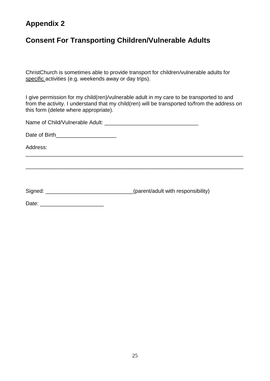## **Appendix 2**

## **Consent For Transporting Children/Vulnerable Adults**

ChristChurch is sometimes able to provide transport for children/vulnerable adults for specific activities (e.g. weekends away or day trips).

I give permission for my child(ren)/vulnerable adult in my care to be transported to and from the activity. I understand that my child(ren) will be transported to/from the address on this form (delete where appropriate).

\_\_\_\_\_\_\_\_\_\_\_\_\_\_\_\_\_\_\_\_\_\_\_\_\_\_\_\_\_\_\_\_\_\_\_\_\_\_\_\_\_\_\_\_\_\_\_\_\_\_\_\_\_\_\_\_\_\_\_\_\_\_\_\_\_\_\_\_\_\_\_\_

\_\_\_\_\_\_\_\_\_\_\_\_\_\_\_\_\_\_\_\_\_\_\_\_\_\_\_\_\_\_\_\_\_\_\_\_\_\_\_\_\_\_\_\_\_\_\_\_\_\_\_\_\_\_\_\_\_\_\_\_\_\_\_\_\_\_\_\_\_\_\_\_

| Name of Child/Vulnerable Adult: |  |
|---------------------------------|--|
|---------------------------------|--|

Date of Birth\_\_\_\_\_\_\_\_\_\_\_\_\_\_\_\_\_\_\_\_

Address:

Signed: \_\_\_\_\_\_\_\_\_\_\_\_\_\_\_\_\_\_\_\_\_\_\_\_\_\_\_\_\_\_\_\_(parent/adult with responsibility)

Date: \_\_\_\_\_\_\_\_\_\_\_\_\_\_\_\_\_\_\_\_\_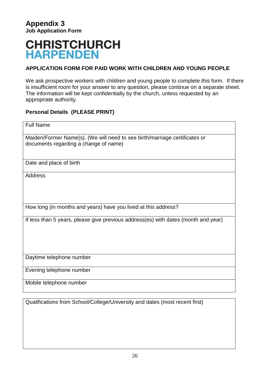## **CHRISTCHURCH HARPENDEN**

## **APPLICATION FORM FOR PAID WORK WITH CHILDREN AND YOUNG PEOPLE**

We ask prospective workers with children and young people to complete this form. If there is insufficient room for your answer to any question, please continue on a separate sheet. The information will be kept confidentially by the church, unless requested by an appropriate authority.

### **Personal Details (PLEASE PRINT)**

| <b>Full Name</b>                                                                                                    |
|---------------------------------------------------------------------------------------------------------------------|
| Maiden/Former Name(s). (We will need to see birth/marriage certificates or<br>documents regarding a change of name) |
| Date and place of birth                                                                                             |
| <b>Address</b>                                                                                                      |
| How long (in months and years) have you lived at this address?                                                      |
| If less than 5 years, please give previous address(es) with dates (month and year)                                  |
| Daytime telephone number                                                                                            |
| Evening telephone number                                                                                            |
| Mobile telephone number                                                                                             |

Qualifications from School/College/University and dates (most recent first)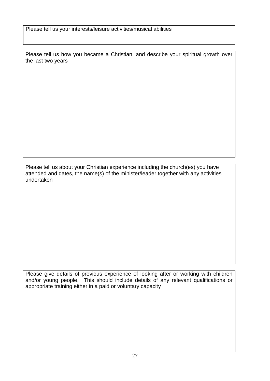Please tell us your interests/leisure activities/musical abilities

Please tell us how you became a Christian, and describe your spiritual growth over the last two years

Please tell us about your Christian experience including the church(es) you have attended and dates, the name(s) of the minister/leader together with any activities undertaken

Please give details of previous experience of looking after or working with children and/or young people. This should include details of any relevant qualifications or appropriate training either in a paid or voluntary capacity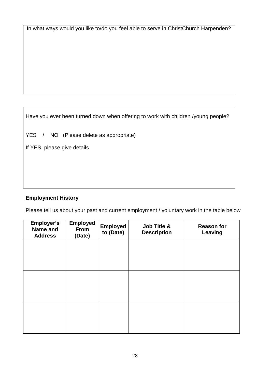In what ways would you like to/do you feel able to serve in ChristChurch Harpenden?

Have you ever been turned down when offering to work with children /young people?

YES / NO (Please delete as appropriate)

If YES, please give details

## **Employment History**

Please tell us about your past and current employment / voluntary work in the table below

| <b>Employer's</b><br>Name and<br><b>Address</b> | <b>Employed</b><br>From<br>(Date) | <b>Employed</b><br>to (Date) | Job Title &<br><b>Description</b> | <b>Reason for</b><br>Leaving |
|-------------------------------------------------|-----------------------------------|------------------------------|-----------------------------------|------------------------------|
|                                                 |                                   |                              |                                   |                              |
|                                                 |                                   |                              |                                   |                              |
|                                                 |                                   |                              |                                   |                              |
|                                                 |                                   |                              |                                   |                              |
|                                                 |                                   |                              |                                   |                              |
|                                                 |                                   |                              |                                   |                              |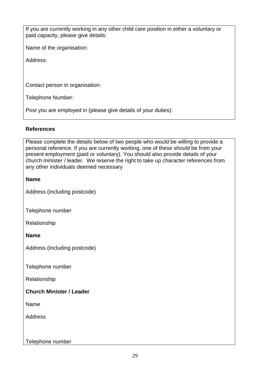If you are currently working in any other child care position in either a voluntary or paid capacity, please give details:

Name of the organisation:

Address:

Contact person in organisation:

Telephone Number:

Post you are employed in (please give details of your duties):

#### **References**

Please complete the details below of two people who would be willing to provide a personal reference. If you are currently working, one of these should be from your present employment (paid or voluntary). You should also provide details of your church minister / leader. We reserve the right to take up character references from any other individuals deemed necessary

#### **Name**

Address (including postcode)

Telephone number

Relationship

**Name**

Address (including postcode)

Telephone number

Relationship

### **Church Minister / Leader**

Name

**Address** 

Telephone number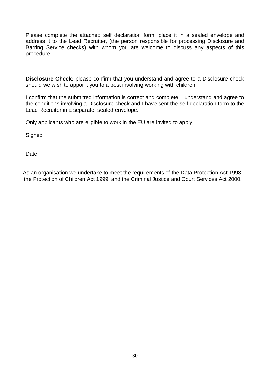Please complete the attached self declaration form, place it in a sealed envelope and address it to the Lead Recruiter, (the person responsible for processing Disclosure and Barring Service checks) with whom you are welcome to discuss any aspects of this procedure.

**Disclosure Check:** please confirm that you understand and agree to a Disclosure check should we wish to appoint you to a post involving working with children.

I confirm that the submitted information is correct and complete, I understand and agree to the conditions involving a Disclosure check and I have sent the self declaration form to the Lead Recruiter in a separate, sealed envelope.

Only applicants who are eligible to work in the EU are invited to apply.

**Signed** 

**Date** 

As an organisation we undertake to meet the requirements of the Data Protection Act 1998, the Protection of Children Act 1999, and the Criminal Justice and Court Services Act 2000.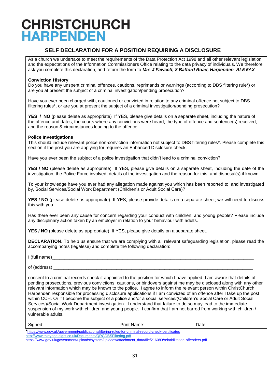## **CHRISTCHURCH HARPENDEN**

### **SELF DECLARATION FOR A POSITION REQUIRING A DISCLOSURE**

As a church we undertake to meet the requirements of the Data Protection Act 1998 and all other relevant legislation, and the expectations of the Information Commissioners Office relating to the data privacy of individuals. We therefore ask you complete this declaration, and return the form to *Mrs J Fawcett, 8 Batford Road, Harpenden AL5 5AX* 

#### **Conviction History**

Do you have any unspent criminal offences, cautions, reprimands or warnings (according to DBS filtering rule\*) or are you at present the subject of a criminal investigation/pending prosecution?

Have you ever been charged with, cautioned or convicted in relation to any criminal offence not subject to DBS filtering rules\*, or are you at present the subject of a criminal investigation/pending prosecution?

**YES / NO** (please delete as appropriate) If YES, please give details on a separate sheet, including the nature of the offence and dates, the courts where any convictions were heard, the type of offence and sentence(s) received, and the reason & circumstances leading to the offence.

#### **Police Investigations**

This should include relevant police non-conviction information not subject to DBS filtering rules\*. Please complete this section if the post you are applying for requires an Enhanced Disclosure check.

Have you ever been the subject of a police investigation that didn't lead to a criminal conviction?

**YES / NO** (please delete as appropriate) If YES, please give details on a separate sheet, including the date of the investigation, the Police Force involved, details of the investigation and the reason for this, and disposal(s) if known.

To your knowledge have you ever had any allegation made against you which has been reported to, and investigated by, Social Services/Social Work Department (Children's or Adult Social Care)?

YES / NO (please delete as appropriate) If YES, please provide details on a separate sheet; we will need to discuss this with you.

Has there ever been any cause for concern regarding your conduct with children, and young people? Please include any disciplinary action taken by an employer in relation to your behaviour with adults.

**YES / NO** (please delete as appropriate) If YES, please give details on a separate sheet.

**DECLARATION**. To help us ensure that we are complying with all relevant safeguarding legislation, please read the accompanying notes (legalese) and complete the following declaration:

 $I$  (full name)

of (address)

consent to a criminal records check if appointed to the position for which I have applied. I am aware that details of pending prosecutions, previous convictions, cautions, or bindovers against me may be disclosed along with any other relevant information which may be known to the police. I agree to inform the relevant person within ChristChurch Harpenden responsible for processing disclosure applications if I am convicted of an offence after I take up the post within CCH. Or if I become the subject of a police and/or a social services/(Children's Social Care or Adult Social Services)/Social Work Department investigation. I understand that failure to do so may lead to the immediate suspension of my work with children and young people. I confirm that I am not barred from working with children / vulnerable adults.

| Signed:                                                        | Print Name:                                                                                                   | Date: |  |
|----------------------------------------------------------------|---------------------------------------------------------------------------------------------------------------|-------|--|
|                                                                | *https://www.gov.uk/government/publications/filtering-rules-for-criminal-record-check-certificates            |       |  |
| http://www.thirtyone:eight.co.uk/Documents/QRGDBSFiltering.pdf |                                                                                                               |       |  |
|                                                                | httpg://www.gov.uk/government/unloade/avatom/unloade/attachment_data/file/216000/robobilitation_offenders_ndf |       |  |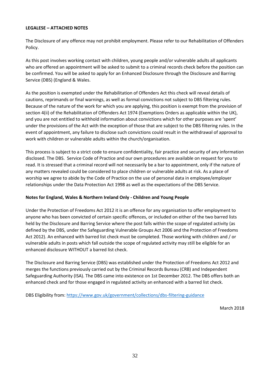#### **LEGALESE – ATTACHED NOTES**

The Disclosure of any offence may not prohibit employment. Please refer to our Rehabilitation of Offenders Policy.

As this post involves working contact with children, young people and/or vulnerable adults all applicants who are offered an appointment will be asked to submit to a criminal records check before the position can be confirmed. You will be asked to apply for an Enhanced Disclosure through the Disclosure and Barring Service (DBS) (England & Wales.

As the position is exempted under the Rehabilitation of Offenders Act this check will reveal details of cautions, reprimands or final warnings, as well as formal convictions not subject to DBS filtering rules. Because of the nature of the work for which you are applying, this position is exempt from the provision of section 4(ii) of the Rehabilitation of Offenders Act 1974 (Exemptions Orders as applicable within the UK), and you are not entitled to withhold information about convictions which for other purposes are 'spent' under the provisions of the Act with the exception of those that are subject to the DBS filtering rules. In the event of appointment, any failure to disclose such convictions could result in the withdrawal of approval to work with children or vulnerable adults within the church/organisation.

This process is subject to a strict code to ensure confidentiality, fair practice and security of any information disclosed. The DBS. Service Code of Practice and our own procedures are available on request for you to read. It is stressed that a criminal record will not necessarily be a bar to appointment, only if the nature of any matters revealed could be considered to place children or vulnerable adults at risk. As a place of worship we agree to abide by the Code of Practice on the use of personal data in employee/employer relationships under the Data Protection Act 1998 as well as the expectations of the DBS Service.

#### **Notes for England, Wales & Northern Ireland Only - Children and Young People**

Under the Protection of Freedoms Act 2012 it is an offence for any organisation to offer employment to anyone who has been convicted of certain specific offences, or included on either of the two barred lists held by the Disclosure and Barring Service where the post falls within the scope of regulated activity (as defined by the DBS, under the Safeguarding Vulnerable Groups Act 2006 and the Protection of Freedoms Act 2012). An enhanced with barred list check must be completed. Those working with children and / or vulnerable adults in posts which fall outside the scope of regulated activity may still be eligible for an enhanced disclosure WITHOUT a barred list check.

The Disclosure and Barring Service (DBS) was established under the Protection of Freedoms Act 2012 and merges the functions previously carried out by the Criminal Records Bureau (CRB) and Independent Safeguarding Authority (ISA). The DBS came into existence on 1st December 2012. The DBS offers both an enhanced check and for those engaged in regulated activity an enhanced with a barred list check.

DBS Eligibility from:<https://www.gov.uk/government/collections/dbs-filtering-guidance>

March 2018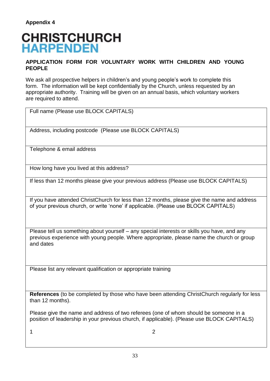## **CHRISTCHURCH HARPENDEN**

#### **APPLICATION FORM FOR VOLUNTARY WORK WITH CHILDREN AND YOUNG PEOPLE**

We ask all prospective helpers in children's and young people's work to complete this form. The information will be kept confidentially by the Church, unless requested by an appropriate authority. Training will be given on an annual basis, which voluntary workers are required to attend.

| Full name (Please use BLOCK CAPITALS)                                                                                                                                                                 |
|-------------------------------------------------------------------------------------------------------------------------------------------------------------------------------------------------------|
| Address, including postcode (Please use BLOCK CAPITALS)                                                                                                                                               |
| Telephone & email address                                                                                                                                                                             |
| How long have you lived at this address?                                                                                                                                                              |
| If less than 12 months please give your previous address (Please use BLOCK CAPITALS)                                                                                                                  |
| If you have attended ChristChurch for less than 12 months, please give the name and address<br>of your previous church, or write 'none' if applicable. (Please use BLOCK CAPITALS)                    |
| Please tell us something about yourself – any special interests or skills you have, and any<br>previous experience with young people. Where appropriate, please name the church or group<br>and dates |

Please list any relevant qualification or appropriate training

**References** (to be completed by those who have been attending ChristChurch regularly for less than 12 months).

Please give the name and address of two referees (one of whom should be someone in a position of leadership in your previous church, if applicable). (Please use BLOCK CAPITALS)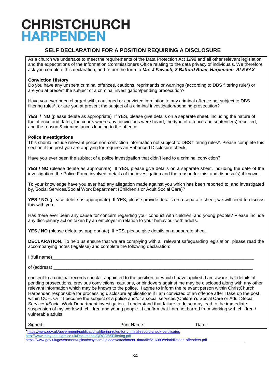## **CHRISTCHURCH HARPENDEN**

### **SELF DECLARATION FOR A POSITION REQUIRING A DISCLOSURE**

As a church we undertake to meet the requirements of the Data Protection Act 1998 and all other relevant legislation, and the expectations of the Information Commissioners Office relating to the data privacy of individuals. We therefore ask you complete this declaration, and return the form to *Mrs J Fawcett, 8 Batford Road, Harpenden AL5 5AX* 

#### **Conviction History**

Do you have any unspent criminal offences, cautions, reprimands or warnings (according to DBS filtering rule\*) or are you at present the subject of a criminal investigation/pending prosecution?

Have you ever been charged with, cautioned or convicted in relation to any criminal offence not subject to DBS filtering rules\*, or are you at present the subject of a criminal investigation/pending prosecution?

**YES / NO** (please delete as appropriate) If YES, please give details on a separate sheet, including the nature of the offence and dates, the courts where any convictions were heard, the type of offence and sentence(s) received, and the reason & circumstances leading to the offence.

#### **Police Investigations**

This should include relevant police non-conviction information not subject to DBS filtering rules\*. Please complete this section if the post you are applying for requires an Enhanced Disclosure check.

Have you ever been the subject of a police investigation that didn't lead to a criminal conviction?

**YES / NO** (please delete as appropriate) If YES, please give details on a separate sheet, including the date of the investigation, the Police Force involved, details of the investigation and the reason for this, and disposal(s) if known.

To your knowledge have you ever had any allegation made against you which has been reported to, and investigated by, Social Services/Social Work Department (Children's or Adult Social Care)?

YES / NO (please delete as appropriate) If YES, please provide details on a separate sheet; we will need to discuss this with you.

Has there ever been any cause for concern regarding your conduct with children, and young people? Please include any disciplinary action taken by an employer in relation to your behaviour with adults.

**YES / NO** (please delete as appropriate) If YES, please give details on a separate sheet.

**DECLARATION**. To help us ensure that we are complying with all relevant safeguarding legislation, please read the accompanying notes (legalese) and complete the following declaration:

 $I$  (full name)

of (address)

consent to a criminal records check if appointed to the position for which I have applied. I am aware that details of pending prosecutions, previous convictions, cautions, or bindovers against me may be disclosed along with any other relevant information which may be known to the police. I agree to inform the relevant person within ChristChurch Harpenden responsible for processing disclosure applications if I am convicted of an offence after I take up the post within CCH. Or if I become the subject of a police and/or a social services/(Children's Social Care or Adult Social Services)/Social Work Department investigation. I understand that failure to do so may lead to the immediate suspension of my work with children and young people. I confirm that I am not barred from working with children / vulnerable adults.

| Signed:                                                        | <b>Print Name:</b>                                                                                                                                   | Date: |  |
|----------------------------------------------------------------|------------------------------------------------------------------------------------------------------------------------------------------------------|-------|--|
|                                                                | *https://www.gov.uk/government/publications/filtering-rules-for-criminal-record-check-certificates                                                   |       |  |
| http://www.thirtyone:eight.co.uk/Documents/QRGDBSFiltering.pdf |                                                                                                                                                      |       |  |
|                                                                | biting , the case of a comparable and head and a factorial and a fatter class and a data (Cla (OA OOOO head als literature and the selection and the |       |  |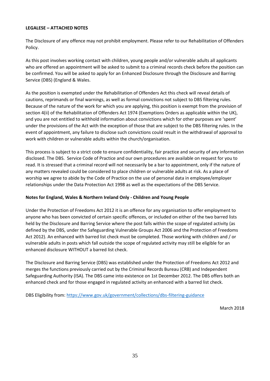#### **LEGALESE – ATTACHED NOTES**

The Disclosure of any offence may not prohibit employment. Please refer to our Rehabilitation of Offenders Policy.

As this post involves working contact with children, young people and/or vulnerable adults all applicants who are offered an appointment will be asked to submit to a criminal records check before the position can be confirmed. You will be asked to apply for an Enhanced Disclosure through the Disclosure and Barring Service (DBS) (England & Wales.

As the position is exempted under the Rehabilitation of Offenders Act this check will reveal details of cautions, reprimands or final warnings, as well as formal convictions not subject to DBS filtering rules. Because of the nature of the work for which you are applying, this position is exempt from the provision of section 4(ii) of the Rehabilitation of Offenders Act 1974 (Exemptions Orders as applicable within the UK), and you are not entitled to withhold information about convictions which for other purposes are 'spent' under the provisions of the Act with the exception of those that are subject to the DBS filtering rules. In the event of appointment, any failure to disclose such convictions could result in the withdrawal of approval to work with children or vulnerable adults within the church/organisation.

This process is subject to a strict code to ensure confidentiality, fair practice and security of any information disclosed. The DBS. Service Code of Practice and our own procedures are available on request for you to read. It is stressed that a criminal record will not necessarily be a bar to appointment, only if the nature of any matters revealed could be considered to place children or vulnerable adults at risk. As a place of worship we agree to abide by the Code of Practice on the use of personal data in employee/employer relationships under the Data Protection Act 1998 as well as the expectations of the DBS Service.

#### **Notes for England, Wales & Northern Ireland Only - Children and Young People**

Under the Protection of Freedoms Act 2012 it is an offence for any organisation to offer employment to anyone who has been convicted of certain specific offences, or included on either of the two barred lists held by the Disclosure and Barring Service where the post falls within the scope of regulated activity (as defined by the DBS, under the Safeguarding Vulnerable Groups Act 2006 and the Protection of Freedoms Act 2012). An enhanced with barred list check must be completed. Those working with children and / or vulnerable adults in posts which fall outside the scope of regulated activity may still be eligible for an enhanced disclosure WITHOUT a barred list check.

The Disclosure and Barring Service (DBS) was established under the Protection of Freedoms Act 2012 and merges the functions previously carried out by the Criminal Records Bureau (CRB) and Independent Safeguarding Authority (ISA). The DBS came into existence on 1st December 2012. The DBS offers both an enhanced check and for those engaged in regulated activity an enhanced with a barred list check.

DBS Eligibility from:<https://www.gov.uk/government/collections/dbs-filtering-guidance>

March 2018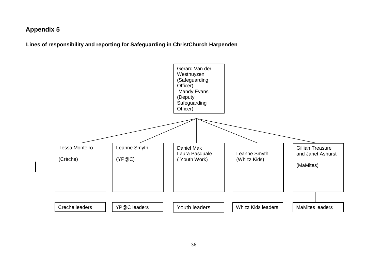## **Appendix 5**

 **Lines of responsibility and reporting for Safeguarding in ChristChurch Harpenden**

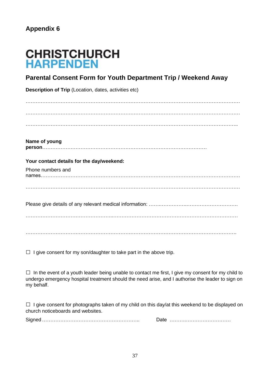## **CHRISTCHURCH HARPENDEN**

## **Parental Consent Form for Youth Department Trip / Weekend Away**

**Description of Trip** (Location, dates, activities etc)

…………………………………………………………………………………………………………………  $\mathcal{L}^{\text{max}}$ . The contract of the contract of the contract of the contract of the contract of the contract of the contract of the contract of the contract of the contract of the contract of the contract of the contract of the contrac

**Name of young person**………………………………………………………………………………………

#### **Your contact details for the day/weekend:**

Phone numbers and

names………………………………………………………………………………………………………… …………………………………………………………………………………………………………………

Please give details of any relevant medical information: ……………………………………………………………

……………………………………………..…………………………………………………………………

 $\mathcal{L}_{\mathcal{M}}$  , and the contract of the contract of the contract of the contract of the contract of the contract of the contract of the contract of the contract of the contract of the contract of the contract of the cont

 $\Box$  I give consent for my son/daughter to take part in the above trip.

 $\square$  In the event of a youth leader being unable to contact me first, I give my consent for my child to undergo emergency hospital treatment should the need arise, and I authorise the leader to sign on my behalf.

 $\Box$  I give consent for photographs taken of my child on this day/at this weekend to be displayed on church noticeboards and websites.

Signed………………………………………………….. Date ……….………………………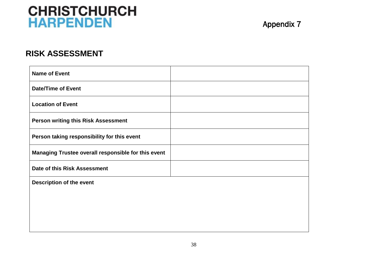## **CHRISTCHURCH HARPENDEN**

## **RISK ASSESSMENT**

| <b>Name of Event</b>                                |  |
|-----------------------------------------------------|--|
| <b>Date/Time of Event</b>                           |  |
| <b>Location of Event</b>                            |  |
| <b>Person writing this Risk Assessment</b>          |  |
| Person taking responsibility for this event         |  |
| Managing Trustee overall responsible for this event |  |
| Date of this Risk Assessment                        |  |
| <b>Description of the event</b>                     |  |
|                                                     |  |
|                                                     |  |
|                                                     |  |
|                                                     |  |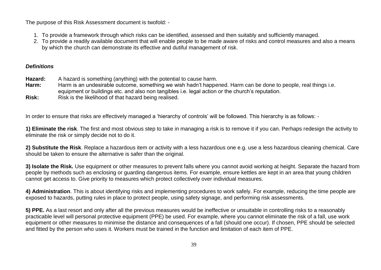The purpose of this Risk Assessment document is twofold: -

- 1. To provide a framework through which risks can be identified, assessed and then suitably and sufficiently managed.
- 2. To provide a readily available document that will enable people to be made aware of risks and control measures and also a means by which the church can demonstrate its effective and dutiful management of risk.

#### *Definitions*

- **Hazard:** A hazard is something (anything) with the potential to cause harm.
- **Harm:** Harm is an undesirable outcome, something we wish hadn't happened. Harm can be done to people, real things i.e. equipment or buildings etc. and also non tangibles i.e. legal action or the church's reputation.
- **Risk:** Risk is the likelihood of that hazard being realised.

In order to ensure that risks are effectively managed a 'hierarchy of controls' will be followed. This hierarchy is as follows: -

**1) Eliminate the risk**. The first and most obvious step to take in managing a risk is to remove it if you can. Perhaps redesign the activity to eliminate the risk or simply decide not to do it.

**2) Substitute the Risk**. Replace a hazardous item or activity with a less hazardous one e.g. use a less hazardous cleaning chemical. Care should be taken to ensure the alternative is safer than the original.

**3) Isolate the Risk.** Use equipment or other measures to prevent falls where you cannot avoid working at height. Separate the hazard from people by methods such as enclosing or guarding dangerous items. For example, ensure kettles are kept in an area that young children cannot get access to. Give priority to measures which protect collectively over individual measures.

**4) Administration**. This is about identifying risks and implementing procedures to work safely. For example, reducing the time people are exposed to hazards, putting rules in place to protect people, using safety signage, and performing risk assessments.

**5) PPE.** As a last resort and only after all the previous measures would be ineffective or unsuitable in controlling risks to a reasonably practicable level will personal protective equipment (PPE) be used. For example, where you cannot eliminate the risk of a fall, use work equipment or other measures to minimise the distance and consequences of a fall (should one occur). If chosen, PPE should be selected and fitted by the person who uses it. Workers must be trained in the function and limitation of each item of PPE.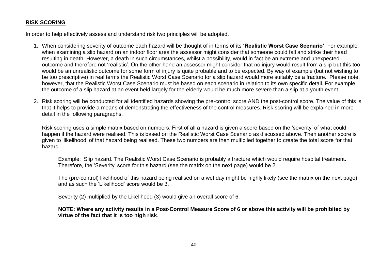#### **RISK SCORING**

In order to help effectively assess and understand risk two principles will be adopted.

- 1. When considering severity of outcome each hazard will be thought of in terms of its **'Realistic Worst Case Scenario'**. For example, when examining a slip hazard on an indoor floor area the assessor might consider that someone could fall and strike their head resulting in death. However, a death in such circumstances, whilst a possibility, would in fact be an extreme and unexpected outcome and therefore not 'realistic'. On the other hand an assessor might consider that no injury would result from a slip but this too would be an unrealistic outcome for some form of injury is quite probable and to be expected. By way of example (but not wishing to be too prescriptive) in real terms the Realistic Worst Case Scenario for a slip hazard would more suitably be a fracture. Please note, however, that the Realistic Worst Case Scenario must be based on each scenario in relation to its own specific detail. For example, the outcome of a slip hazard at an event held largely for the elderly would be much more severe than a slip at a youth event
- 2. Risk scoring will be conducted for all identified hazards showing the pre-control score AND the post-control score. The value of this is that it helps to provide a means of demonstrating the effectiveness of the control measures. Risk scoring will be explained in more detail in the following paragraphs.

Risk scoring uses a simple matrix based on numbers. First of all a hazard is given a score based on the 'severity' of what could happen if the hazard were realised. This is based on the Realistic Worst Case Scenario as discussed above. Then another score is given to 'likelihood' of that hazard being realised. These two numbers are then multiplied together to create the total score for that hazard.

Example: Slip hazard. The Realistic Worst Case Scenario is probably a fracture which would require hospital treatment. Therefore, the 'Severity' score for this hazard (see the matrix on the next page) would be 2.

The (pre-control) likelihood of this hazard being realised on a wet day might be highly likely (see the matrix on the next page) and as such the 'Likelihood' score would be 3.

Severity (2) multiplied by the Likelihood (3) would give an overall score of 6.

#### **NOTE: Where any activity results in a Post-Control Measure Score of 6 or above this activity will be prohibited by virtue of the fact that it is too high risk**.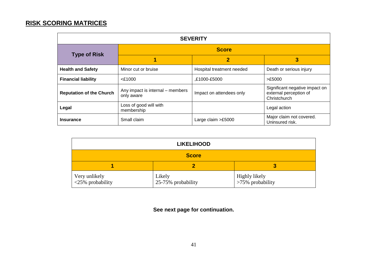## **RISK SCORING MATRICES**

| <b>SEVERITY</b>                 |                                                |                           |                                                                          |  |
|---------------------------------|------------------------------------------------|---------------------------|--------------------------------------------------------------------------|--|
| <b>Type of Risk</b>             | <b>Score</b>                                   |                           |                                                                          |  |
|                                 |                                                | $\overline{2}$            | 3                                                                        |  |
| <b>Health and Safety</b>        | Minor cut or bruise                            | Hospital treatment needed | Death or serious injury                                                  |  |
| <b>Financial liability</b>      | $<$ £1000                                      | £1000-£5000,              | >E5000                                                                   |  |
| <b>Reputation of the Church</b> | Any impact is internal – members<br>only aware | Impact on attendees only  | Significant negative impact on<br>external perception of<br>Christchurch |  |
| Legal                           | Loss of good will with<br>membership           |                           | Legal action                                                             |  |
| <b>Insurance</b>                | Small claim                                    | Large claim >£5000        | Major claim not covered.<br>Uninsured risk.                              |  |

| <b>LIKELIHOOD</b>                 |                              |                                      |  |
|-----------------------------------|------------------------------|--------------------------------------|--|
| <b>Score</b>                      |                              |                                      |  |
| 3                                 |                              |                                      |  |
| Very unlikely<br><25% probability | Likely<br>25-75% probability | Highly likely<br>$>75\%$ probability |  |

**See next page for continuation.**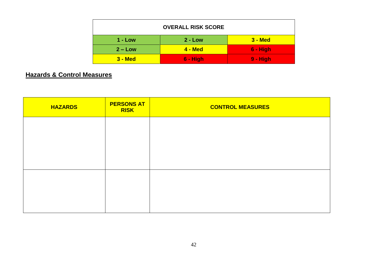| <b>OVERALL RISK SCORE</b> |                |            |  |  |
|---------------------------|----------------|------------|--|--|
| $1 - Low$                 | $2 - Low$      | $3 - Med$  |  |  |
| $2 - Low$                 | <b>4 - Med</b> | $6 - High$ |  |  |
| $3 - Med$                 | $6 - High$     | $9 - High$ |  |  |

## **Hazards & Control Measures**

| <b>HAZARDS</b> | <b>PERSONS AT</b><br><b>RISK</b> | <b>CONTROL MEASURES</b> |
|----------------|----------------------------------|-------------------------|
|                |                                  |                         |
|                |                                  |                         |
|                |                                  |                         |
|                |                                  |                         |
|                |                                  |                         |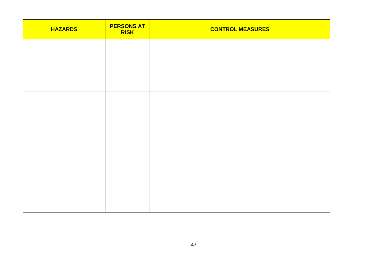| <b>HAZARDS</b> | <b>PERSONS AT</b><br><b>RISK</b> | <b>CONTROL MEASURES</b> |
|----------------|----------------------------------|-------------------------|
|                |                                  |                         |
|                |                                  |                         |
|                |                                  |                         |
|                |                                  |                         |
|                |                                  |                         |
|                |                                  |                         |
|                |                                  |                         |
|                |                                  |                         |
|                |                                  |                         |
|                |                                  |                         |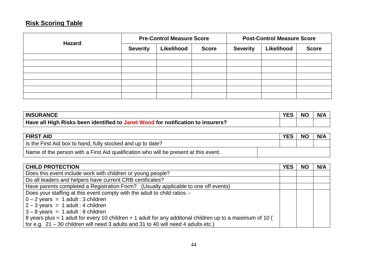## **Risk Scoring Table**

| <b>Hazard</b> | <b>Pre-Control Measure Score</b> |            |              | <b>Post-Control Measure Score</b> |            |              |
|---------------|----------------------------------|------------|--------------|-----------------------------------|------------|--------------|
|               | <b>Severity</b>                  | Likelihood | <b>Score</b> | <b>Severity</b>                   | Likelihood | <b>Score</b> |
|               |                                  |            |              |                                   |            |              |
|               |                                  |            |              |                                   |            |              |
|               |                                  |            |              |                                   |            |              |
|               |                                  |            |              |                                   |            |              |
|               |                                  |            |              |                                   |            |              |
|               |                                  |            |              |                                   |            |              |
|               |                                  |            |              |                                   |            |              |

| <b>INSURANCE</b>                                                                | <b>VEC</b> | <b>NC</b> | N/A |
|---------------------------------------------------------------------------------|------------|-----------|-----|
| Have all High Risks been identified to Janet Wood for notification to insurers? |            |           |     |

| <b>FIRST AID</b>                                                                     | <b>YES</b> | <b>NO</b> | N/A |
|--------------------------------------------------------------------------------------|------------|-----------|-----|
| Is the First Aid box to hand, fully stocked and up to date?                          |            |           |     |
| Name of the person with a First Aid qualification who will be present at this event. |            |           |     |

| <b>CHILD PROTECTION</b>                                                                                           | <b>YES</b> | <b>NO</b> | N/A |
|-------------------------------------------------------------------------------------------------------------------|------------|-----------|-----|
| Does this event include work with children or young people?                                                       |            |           |     |
| Do all leaders and helpers have current CRB certificates?                                                         |            |           |     |
| Have parents completed a Registration Form? (Usually applicable to one off events)                                |            |           |     |
| Does your staffing at this event comply with the adult to child ratios :-                                         |            |           |     |
| $0 - 2$ years = 1 adult : 3 children                                                                              |            |           |     |
| $2 - 3$ years = 1 adult : 4 children                                                                              |            |           |     |
| $3 - 8$ years = 1 adult : 8 children                                                                              |            |           |     |
| $\vert$ 8 years plus = 1 adult for every 10 children + 1 adult for any additonal children up to a maximum of 10 ( |            |           |     |
| for e.g. $21 - 30$ children will need 3 adults and 31 to 40 will need 4 adults etc.)                              |            |           |     |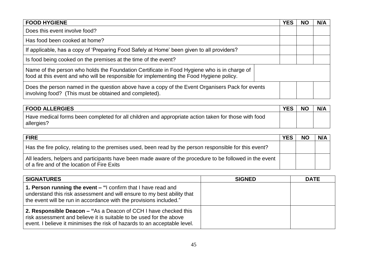| <b>FOOD HYGIENE</b>                                                                                                                                                                     | <b>YES</b> | <b>NO</b> | N/A |
|-----------------------------------------------------------------------------------------------------------------------------------------------------------------------------------------|------------|-----------|-----|
| Does this event involve food?                                                                                                                                                           |            |           |     |
| Has food been cooked at home?                                                                                                                                                           |            |           |     |
| If applicable, has a copy of 'Preparing Food Safely at Home' been given to all providers?                                                                                               |            |           |     |
| Is food being cooked on the premises at the time of the event?                                                                                                                          |            |           |     |
| Name of the person who holds the Foundation Certificate in Food Hygiene who is in charge of<br>food at this event and who will be responsible for implementing the Food Hygiene policy. |            |           |     |
| Does the person named in the question above have a copy of the Event Organisers Pack for events<br>involving food? (This must be obtained and completed).                               |            |           |     |

| <b>FOOD ALLERGIES</b>                                                                                             | <b>YES</b> | <b>NC</b> | N/A |
|-------------------------------------------------------------------------------------------------------------------|------------|-----------|-----|
| Have medical forms been completed for all children and appropriate action taken for those with food<br>allergies? |            |           |     |

| <b>FIRE</b>                                                                                                                                            | <b>YES</b> | <b>NO</b> | N/A |
|--------------------------------------------------------------------------------------------------------------------------------------------------------|------------|-----------|-----|
| Has the fire policy, relating to the premises used, been read by the person responsible for this event?                                                |            |           |     |
| All leaders, helpers and participants have been made aware of the procedure to be followed in the event<br>of a fire and of the location of Fire Exits |            |           |     |

| <b>SIGNATURES</b>                                                                                                                                                                                                   | <b>SIGNED</b> | <b>DATE</b> |
|---------------------------------------------------------------------------------------------------------------------------------------------------------------------------------------------------------------------|---------------|-------------|
| 1. Person running the event – "I confirm that I have read and<br>understand this risk assessment and will ensure to my best ability that<br>the event will be run in accordance with the provisions included."      |               |             |
| 2. Responsible Deacon – "As a Deacon of CCH I have checked this<br>risk assessment and believe it is suitable to be used for the above<br>event. I believe it minimises the risk of hazards to an acceptable level. |               |             |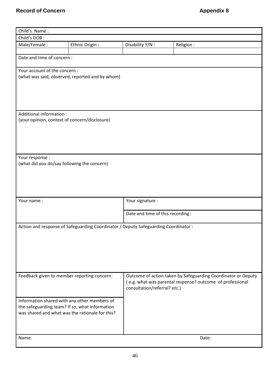| Child's Name:                 |                                                                                                   |                                   |                                                               |
|-------------------------------|---------------------------------------------------------------------------------------------------|-----------------------------------|---------------------------------------------------------------|
| Child's DOB:                  |                                                                                                   |                                   |                                                               |
| Male/Female:                  | Ethnic Origin :                                                                                   | Disability Y/N :                  | Religion:                                                     |
|                               |                                                                                                   |                                   |                                                               |
| Date and time of concern :    |                                                                                                   |                                   |                                                               |
| Your account of the concern : |                                                                                                   |                                   |                                                               |
|                               | (what was said, observed, reported and by whom)                                                   |                                   |                                                               |
|                               |                                                                                                   |                                   |                                                               |
|                               |                                                                                                   |                                   |                                                               |
|                               |                                                                                                   |                                   |                                                               |
|                               |                                                                                                   |                                   |                                                               |
| Additional information :      |                                                                                                   |                                   |                                                               |
|                               | (your opinion, context of concern/disclosure)                                                     |                                   |                                                               |
|                               |                                                                                                   |                                   |                                                               |
|                               |                                                                                                   |                                   |                                                               |
|                               |                                                                                                   |                                   |                                                               |
|                               |                                                                                                   |                                   |                                                               |
| Your response :               |                                                                                                   |                                   |                                                               |
|                               | (what did you do/say following the concern)                                                       |                                   |                                                               |
|                               |                                                                                                   |                                   |                                                               |
|                               |                                                                                                   |                                   |                                                               |
|                               |                                                                                                   |                                   |                                                               |
|                               |                                                                                                   |                                   |                                                               |
|                               |                                                                                                   |                                   |                                                               |
| Your name:                    |                                                                                                   | Your signature :                  |                                                               |
|                               |                                                                                                   | Date and time of this recording : |                                                               |
|                               |                                                                                                   |                                   |                                                               |
|                               | Action and response of Safeguarding Coordinator / Deputy Safeguarding Coordinator:                |                                   |                                                               |
|                               |                                                                                                   |                                   |                                                               |
|                               |                                                                                                   |                                   |                                                               |
|                               |                                                                                                   |                                   |                                                               |
|                               |                                                                                                   |                                   |                                                               |
|                               |                                                                                                   |                                   |                                                               |
|                               |                                                                                                   |                                   |                                                               |
|                               | Feedback given to member reporting concern:                                                       |                                   | Outcome of action taken by Safeguarding Coordinator or Deputy |
|                               |                                                                                                   |                                   | (e.g. what was parental response? outcome of professional     |
|                               |                                                                                                   | consultation/referral? etc.)      |                                                               |
|                               |                                                                                                   |                                   |                                                               |
|                               | Information shared with any other members of                                                      |                                   |                                                               |
|                               | the safeguarding team? If so, what information<br>was shared and what was the rationale for this? |                                   |                                                               |
|                               |                                                                                                   |                                   |                                                               |
|                               |                                                                                                   |                                   |                                                               |
|                               |                                                                                                   |                                   |                                                               |
| Name:                         |                                                                                                   |                                   | Date:                                                         |
|                               |                                                                                                   |                                   |                                                               |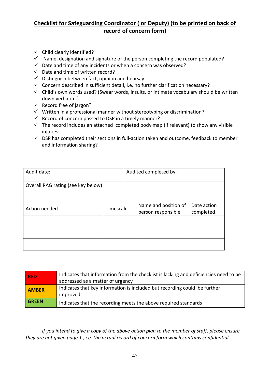## **Checklist for Safeguarding Coordinator ( or Deputy) (to be printed on back of record of concern form)**

- $\checkmark$  Child clearly identified?
- $\checkmark$  Name, designation and signature of the person completing the record populated?
- $\checkmark$  Date and time of any incidents or when a concern was observed?
- $\checkmark$  Date and time of written record?
- $\checkmark$  Distinguish between fact, opinion and hearsay
- $\checkmark$  Concern described in sufficient detail, i.e. no further clarification necessary?
- $\checkmark$  Child's own words used? (Swear words, insults, or intimate vocabulary should be written down verbatim.)
- $\checkmark$  Record free of jargon?
- $\checkmark$  Written in a professional manner without stereotyping or discrimination?
- $\checkmark$  Record of concern passed to DSP in a timely manner?
- $\checkmark$  The record includes an attached completed body map (if relevant) to show any visible injuries
- $\checkmark$  DSP has completed their sections in full-action taken and outcome, feedback to member and information sharing?

| Audit date:<br>Audited completed by: |           |  |                                            |                          |
|--------------------------------------|-----------|--|--------------------------------------------|--------------------------|
| Overall RAG rating (see key below)   |           |  |                                            |                          |
| Action needed                        | Timescale |  | Name and position of<br>person responsible | Date action<br>completed |
|                                      |           |  |                                            |                          |
|                                      |           |  |                                            |                          |
|                                      |           |  |                                            |                          |

| <b>RED</b>   | Indicates that information from the checklist is lacking and deficiencies need to be<br>addressed as a matter of urgency |
|--------------|--------------------------------------------------------------------------------------------------------------------------|
| <b>AMBER</b> | Indicates that key information is included but recording could be further<br>improved                                    |
| <b>GREEN</b> | Indicates that the recording meets the above required standards                                                          |

*If you intend to give a copy of the above action plan to the member of staff, please ensure they are not given page 1 , i.e. the actual record of concern form which contains confidential*